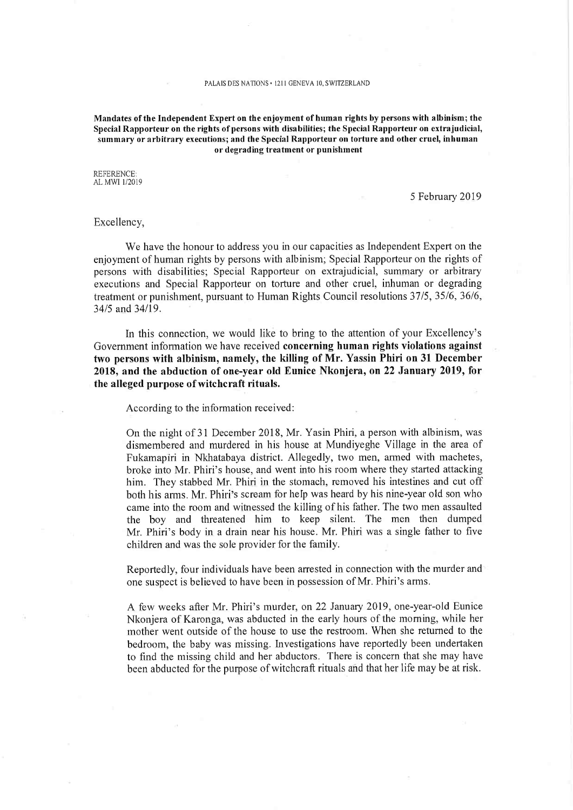Mandates of the Independent Expert on the enjoyment of human rights by persons with albinism; the Special Rapporteur on the rights of persons mth disabilities; the Special Rapporteur on extrajudicial, summary or arbitrary executions; and the Special Rapporteur on torture and other cruel, inhuman or degrading treatment or punishment

REFERENCE. AL MWI 1/2019

5 February 2019

## Excellency,

We have the honour to address you in our capacities as Independent Expert on the enjoyment of human rights by persons with albinism; Special Rapporteur on the rights of persons with disabilities; Special Rapporteur on extrajudicial, summary or arbitrary executions and Special Rapporteur on torture and other cruel, inhuman or degrading treatment or punishment, pursuant to Human Rights Council resolutions 37/5, 35/6, 36/6, 34/5 and 34/19.

In this connection, we would like to bring to the attention of your Excellency's Government infornnation we have received concerning human rights violations against two persons with albinism, namely, the killing of Mr. Yassin Phiri on 31 December 2018, and the abduction of one-year old Eunice Nkonjera, on 22 January 2019, for the alleged purpose of witchcraft rituals.

According to the information received:

On the night of 31 December 2018, Mr. Yasin Phiri, a person with albinism, was dismembered and murdered in his house at Mundiyeghe Village in the area of Fukamapiri in Nkhatabaya district. Allegedly, two men, armed with machetes, broke into Mr. Phiri's house, and went into his room where they started attacking him. They stabbed Mr. Phiri in the stomach, removed his intestines and cut off both his arms. Mr. Phiri's scream for heIp was heard by his nine-year old son who came into the room and witnessed the killing of his father. The two men assaulted the boy and threatened him to keep silent. The men then dumped Mr. Phiri's body in a drain near his house. Mr. Phiri was a single father to five children and was the sole provider for the family.

Reportedly, four individuals have been arrested in connection with tbe murder and one suspect is believed to have been in possession of Mr. Phiri's arms.

A few weeks after Mr. Phiri's murder, on 22 January 2019, one-year-old Eunice Nkonjera of Karonga, was abducted in the early hours of the morning, while her mother went outside of the house to use the restroom. When she returned to the bedroom, the baby was missing. Investigations have reportedly been undertaken to find the missing child and her abductors. There is concern that she may have been abducted for the purpose of witchcraft rituals and that her life may be at risk.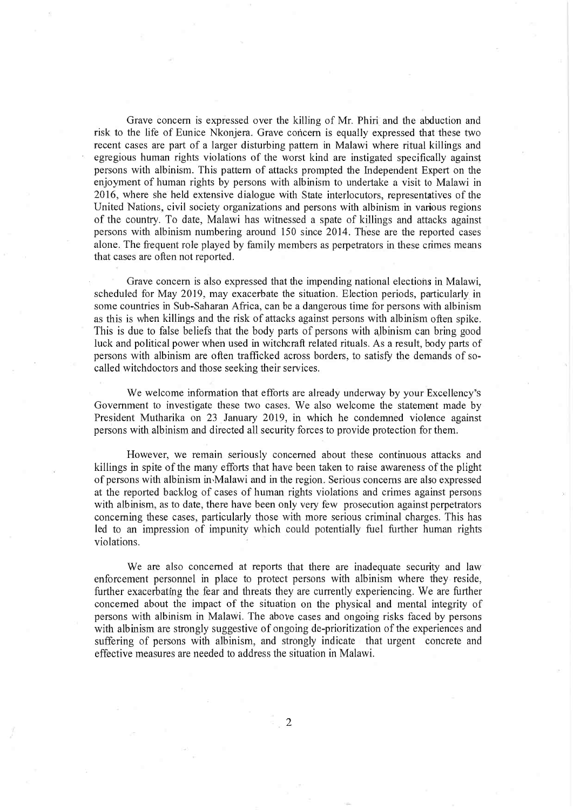Grave concern is expressed over the killing of Mr. Phiri and the abduction and risk to the life of Eunice Nkonjera. Grave concern is equally expressed that these two recent cases are part of a larger disturbing pattern in Malawi where ritual killings and egregious human rights violations of the worst kind are instigated specifically against persons with albinism. This pattern of attacks prompted the Independent Expert on the enjoyment of human rights by persons with albinism to undertake a visit to Malawi in 2016, where she held extensive dialogue with State interlocutors, representatives of the United Nations, civil society organizations and persons with albinism in various regions of the country. To date, Malawi has witnessed a spate of killings and attacks against persons with albinism numbering around 150 since 2014. These are the reported cases alone. The frequent role played by family members as perpetrators in these crimes means that cases are offen not reported.

Grave concern is also expressed that the impending national elections in Malawi, scheduled for May 2019, may exacerbate the situation. Election periods, particularly in some countries in Sub-Saharan Africa, can be a dangerous time for persons with albinism as this is when killings and the risk of attacks against persons with albinism often spike. This is due to false beliefs that the body parts of persons with albinism can bring good luck and political power when used in witchcraft related rituals. As a result, body parts of persons with albinism are often trafficked across borders, to satisfy the demands of socalled witchdoctors and those seeking their services.

We welcome information that efforts are already underway by your Excellency's Government to investigate these two cases. We also welcome the statement made by President Mutharika on 23 January 2019, in which he condemned violence against persons with albinism and directed all security forces to provide protection for them.

However, we remain seriously concerned about these continuous attacks and killings in spite of the many efforts that have been taken to raise awareness of the plight of persons with albinism in-Malawi and in the region. Serious concems are also expressed at the reported backlog of cases of human rights violations and crimes against persons with albinism, as to date, there have been only very few prosecution against perpetrators concerning these cases, particularly those with more serious criminal charges. This has led to an impression of impunity which could potentially fuel further human rights violations.

We are also concerned at reports that there are inadequate security and law enforcement personnel in place to protect persons with albinism where they reside, further exacerbating the fear and threats they are currently experiencing. We are further concerned about the impact of the situation on the physical and mental integrity of persons with albinism in Malawi. The above cases and ongoing risks faced by persons with albinism are strongly suggestive of ongoing de-prioritization of the experiences and suffering of persons with albinism, and strongly indicate that urgent concrete and effective measures are needed to address the situation in Malawi.

2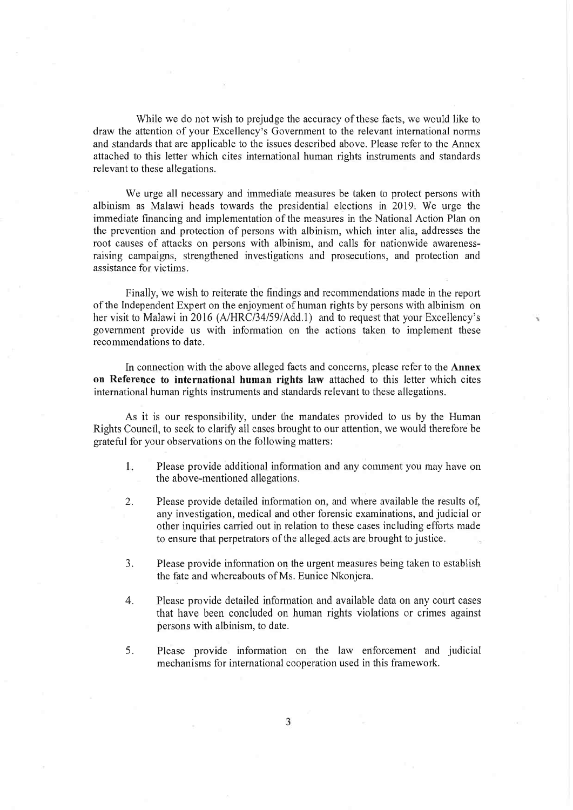While we do not wish to prejudge the accuracy of these facts, we would like to draw the attention of your Excellency's Government to the relevant international norms and standards that are applicable to the issues described above. Please refer to the Annex attached to this letter which cites international human riglits instruments and standards relevant to these allegations.

We urge all necessary and immediate measures be taken to protect persons with albinism as Malawi heads towards the presidential elections in 2019'. We urge the immediate financing and implementation of the measures in the National Action Plan on the prevention and protection of persons with albinism, which inter alia, addresses the root causes of attacks on persons with albinism, and calls for nationwide awarenessraising campaigns, strengthened investigations and prosecutions, and protection and assistance for victims.

Finally, we wish to reiterate the findings and recommendations made in the report of the Indeperident Expert on the enjoyment of human rights by persons with albinism on her visit to Malawi in 2016 (A/HRC/34/59/Add.1) and to request that your Excellency's government provide us with inforination on the actions taken to implement these recommendations to date.

In connection with the above alleged facts and concerns, please refer to the **Annex** on Reference to international human rights law attached to this letter which cites international human rights instruments and standards relevant to these allegations.

As it is our responsibility, under the mandates provided to us by the Human Rights Council, to seek to clarify all cases brought to our attention, we would therefore be grateful for your observations on the following matters:

- 1. Please provide additional information and any comment you may have on the above-mentioned allegations.
- 2. Please provide detailed information on, and where available the results of, any investigation, medical and other forensic examinations, and judicial or other inquiries carried out in relation to these cases including efforts made to ensure that perpetrators of the alleged. acts are brought to justice.
- 3. Please provide information on the urgent measures being taken to establish the fate and whereabouts of Ms. Eamice Nkonjera.
- 4. Please provide detailed information and available data on any court cases that have been concluded on human rights violations or crimes against persons with albinism, to date.
- 5. Please provide information on the law enforcement and judicial mechanisms for international cooperation used in this framework.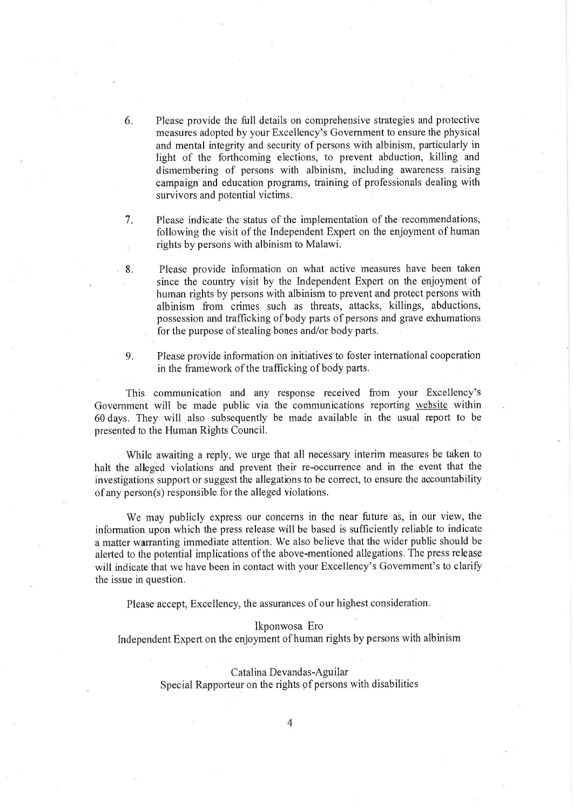- 6. Please provide the full details on comprehensive strategies and protective measures adopted by your Excellency's Government to ensure the physical and mental integrity and security of persons with albinism, particularly in light of the forthcoming elections, to prevent abduction, killing and dismembering of persons with albinism, including awareness raising campaign and education programs, training of professionals dealing with survivors and potential victims.
- 7. Please indicate the status of the implementation of the recommendations, following the visit of the Independent Expert on the enjoyment of human rights by persons with albinism to Malawi.
- 8. Please provide information on what active measures have been taken since the country visit by the Independent Expert on the enjoyment of human rights by persons with albinism to prevent and protect persons with albinism from crimes such as threats, attacks, killings, abductions, possession and trafficking of body parts of persons and grave exhumations for the purpose of stealing bones and/or body parts.
- 9. Please provide information on initiatives to foster international cooperation in the framework of the trafficking of body parts.

This communication and any response received from your Excellency's Government will be made public via the communications reporting website within 60 days. They will also subsequently be made available in the usual report to be presented to the Human Rights Council.

While awaiting a reply, we urge that all necessary interim measures be taken to halt the alleged violations and prevent their re-occurrence and in the event that the investigations support or suggest the allegations to be correct, to ensure the accountability of any person(s) responsible for the alleged violations.

We may publicly express our concerns in the near future as, in our view, the information upon which the press release will be based is sufficiently reliable to indicate a matter warranting immediate attention. We also believe that the wider public should be alerted to the potential implications of the above-mentioned allegations. The press release will indicate that we have been in contact with your Excellency's Government's to clarify the issue in question.

Please accept, Excellency, the assurances of our highest consideration

## Ikponwosa Ero

Independent Expert on the enjoyment of human rights by persons with albinism

## Catalina Devandas-Aguilar

Special Rapporteur on the rights of persons with disabilities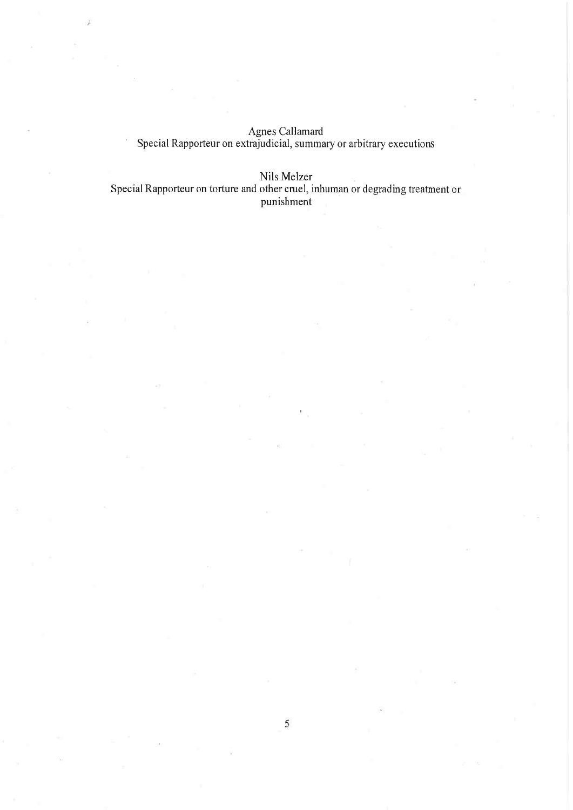Agnes Callam Special Rapporteur on extrajudicial, summary or arbitrary executions

Nils Melz

Special Rapporteur on torture and other cruel, inhuman or degrading treatment or punishm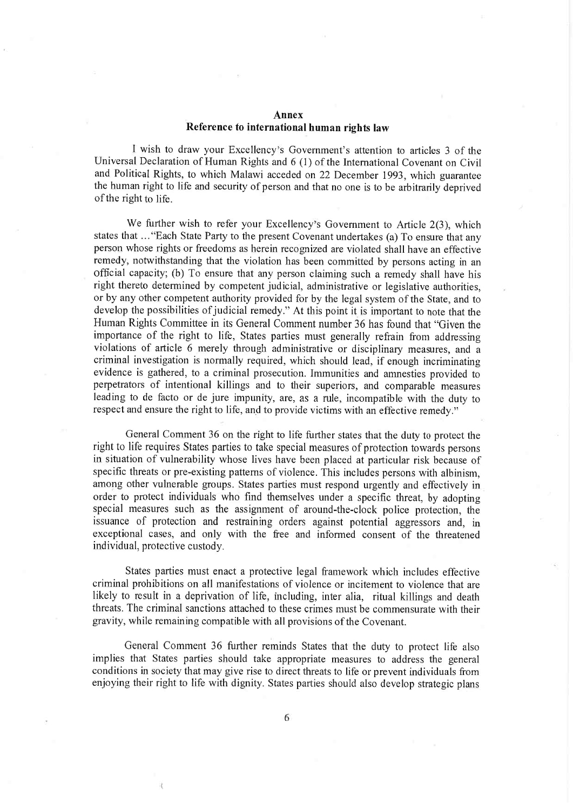## Annex Reference to international human rights law

I wish to draw your Excellency's Government's attention to articles 3 of the Universal Declaration of Human Rights and 6 (1) of the International Covenant on Civil and Political Rights, to which Malawi acceded on 22 December 1993, which guarantee the human right to life and security of person and that no one is to be arbitrarily deprived of the right to life.

We further wish to refer your Excellency's Government to Article 2(3), which states that ..."Each State Party to the present Covenant undertakes (a) To ensure that any person whose rights or freedoms as herein recognized are violated shall have an effective remedy, notwithstanding that the violation has been committed by persons acting in an official capacity; (b) To ensure that any person claiming such a remedy shall have his right thereto determined by competent judicial, administrative or legislative authorities. or by any other competent authority provided for by the legal system of the State, and to develop the possibilities of judicial remedy." At this point it is important to note that the Human Rights Committee in its General Comment number 36 has found that "Given the importance of the right to life, States parties must generally refrain from addressing violations of article 6 merely through administrative or disciplinary measures, and a criminal investigation is normally required, which should lead, if enough incriminating evidence is gathered, to a criminal prosecution. Immunities and amnesties provided to perpetrators of intentional killings and to their superiors, and comparable measures leading to de facto or de jure impunity, are, as a nile, incompatible with the duty to respect and ensure the right to life, and to provide victims with an effective remedy."

General Comment 36 on the right to life further states that the duty to protect the right to life requires States parties to take special measures of protection towards persons in situation of vulnerability whose lives have been placed at particular risk because of specific threats or pre-existing patterns of violence. This includes persons with albinism, among other vulnerable groups. States parties must respond urgently and effectively in order to protect individuals who find themselves under a specific threat, by adopting special measures such as the assignment of around-the-clock police protection, the issuance of protection and restraining orders against potential aggressors and, in exceptional cases, and only with the free and informed consent of the threatened individual, protective custody.

States parties must enact a protective legal framework which includes effective criminal prohibitions on all manifestations of violence or incitement to violence that are likely to result in a deprivation of life, including, inter alia, ritual killings and death threats. The criminal sanctions attached to these crimes must be commensurate with their gravity, while remaining compatible with all provisions of the Covenant.

General Comment 36 further reminds States that the duty to protect life also implies that States parties should take appropriate measures to address the general conditions in society that may give rise to direct threats to life or prevent individuals from enjoying their right to life with dignity. States parties should also develop strategic plans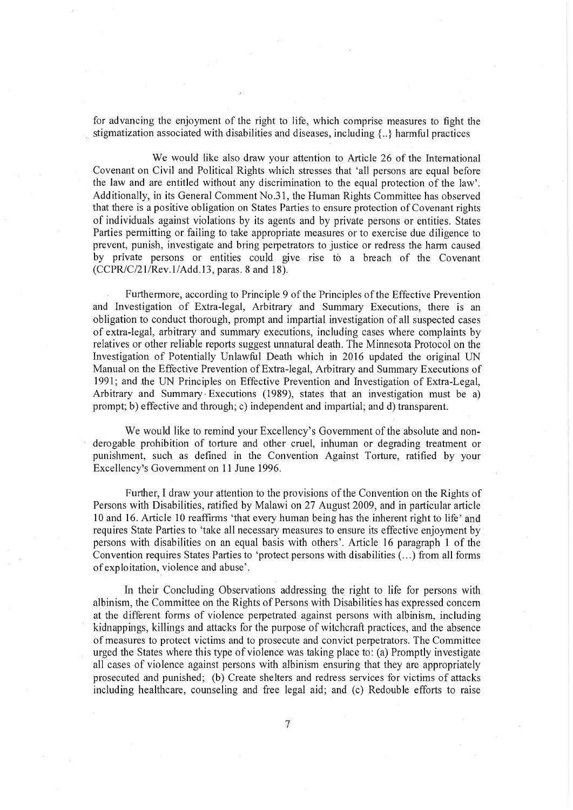for advancing the enjoyment of the right to life, which comprise measures to fight the stigmatization associated with disabilities and diseases, including  $\{\cdot,\cdot\}$  harmful practices

We would like also draw your attention to Article 26 of the Intemational Covenant on Civil and Political Rights which stresses that 'all persons are equal before the law and are entitled without any discrimination to the equal protection of the law'. Additionally, in its General Comment No.31, the Human Rights Committee has observed 'that there is a positive obligation on States Parties to ensure protection of Covenant rights of individuals against violations by its agents and by private persons or entities. States Parties permitting or failing to take appropriate measures or to exercise due diligence to prevent, punish, investigate and bring perpetrators to justice or redress the harm caused by private persons or entities could give rise to a breach of the Covenant (CCPR/C/21/Rev.l/Add.l3, paras. 8 and 18).

Furthermore, according to Principle 9 of the Principles of the Effective Prevention and Investigation of Extra-legal, Arbitrary and Summary Executions, there is an obligation to conduct thorough, prompt and impartial investigation of all suspected cases of extra-legal, arbitrary and summary executions, including cases where complaints by relatives or other reliable reports suggest unnatural death. The Minnesota Protocol on the Investigation of Potentially Unlawful Death which in 2016 updated the original UN Manual on the Effective Prevention of Extra-legal, Arbitrary and Summary Executions of 1991; and.the UN Principles on Effective Prevention and Investigation of Extra-Legal, Arbitrary and Summary-Executions (1989), states that an investigation must be a) prompt; b) effective and through; c) independent and impartial; and d) transparent.

We would like to remind your Excellency's Government of the absolute and nonderogable prohibition of torture and other cruel, inhuman or degrading treatment or punishment, such as defined in the Convention Against Torture, ratified by your Excellency's Government on 11 June 1996.

Further, I draw your attention to the provisions of the Convention on the Rights of Persons with Disabilities, ratified by Malawi on 27 August 2009, and in particular article 10 and 16. Article 10 reaffirms 'that every human being has the inherent right to life' and requires State Parties to 'take all necessary measures to ensure its effective enjoyment by persons with disabilities on an equal basis with others'. Article 16 paragraph l of the Convention requires States Parties to 'protect persons with disabilities (...) from all forms of exploitation, violence and abuse'

In their Concluding Observations addressing the right to life for persons with albinism, the Committee on the Rights of Persons with Disabilities has expressed concern at the different forms of violence perpetrated against persons with albinism, including kidnappings, killings and attacks for the purpose of witchcraft practices, and the absence of measures to protect victims and to prosecute and convict perpetrators. The Committee urged the States where this type of violence was taking place to: (a) Promptly investigate all cases of violence against persons with albinism ensuring that they are appropriately prosecuted and punished; (b) Create shelters and redress services for victims of attacks including healthcare, counseling and free legal aid; and (c) Redouble efforts to raise